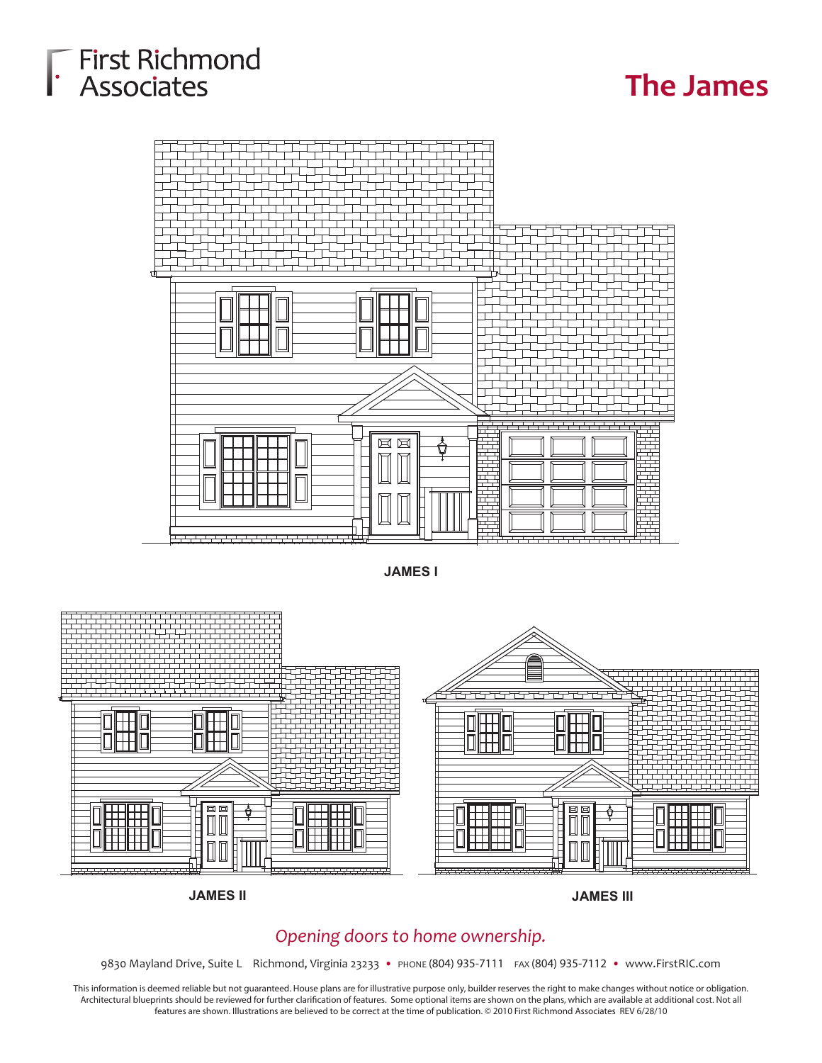# First Richmond<br>FAssociates

### **The James**



**JAMES I**



**JAMES II JAMES III**

#### *Opening doors to home ownership.*

9830 Mayland Drive, Suite L Richmond, Virginia 23233 • PHONE (804) 935-7111 FAX (804) 935-7112 • www.FirstRIC.com

This information is deemed reliable but not guaranteed. House plans are for illustrative purpose only, builder reserves the right to make changes without notice or obligation. Architectural blueprints should be reviewed for further clarification of features. Some optional items are shown on the plans, which are available at additional cost. Not all features are shown. Illustrations are believed to be correct at the time of publication. © 2010 First Richmond Associates REV 6/28/10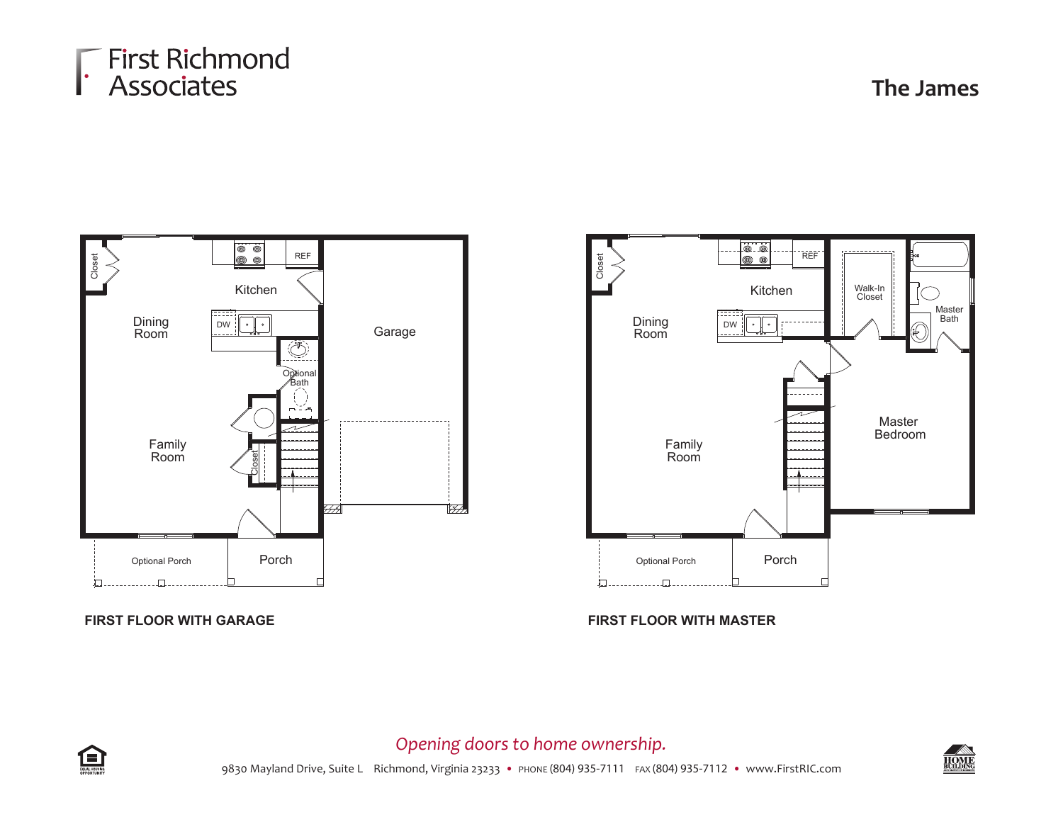### First Richmond<br>F Associates

**The James**





**FIRST FLOOR WITH GARAGE FIRST FLOOR WITH MASTER**



*Opening doors to home ownership.*

9830 Mayland Drive, Suite L Richmond, Virginia 23233 • PHONE (804) 935-7111 FAX (804) 935-7112 • www.FirstRIC.com